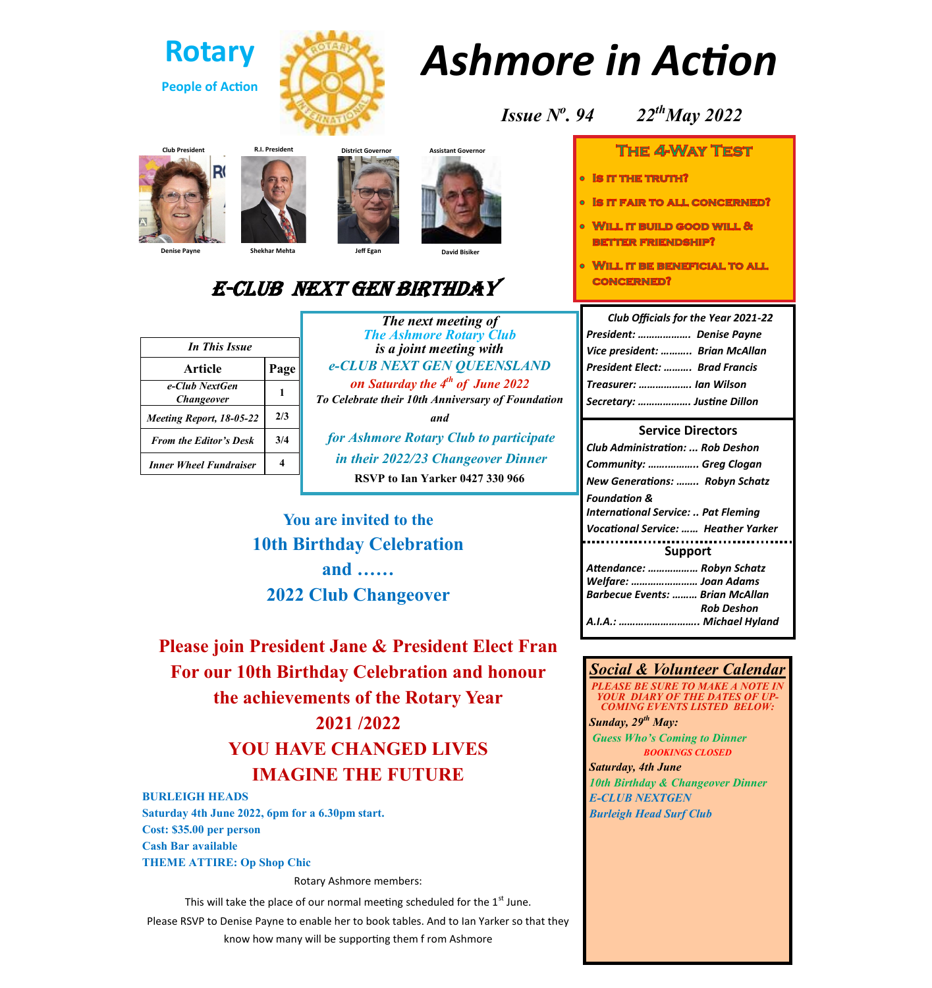

# *Ashmore in Action*

*Issue N<sup>o</sup> . 94 22thMay 2022*

# **THE 4WWAY TEST**

- **O IS IT THE TRUTH?**
- **. IS IT FAIR TO ALL CONCERNED?**
- WILL IT BUILD GOOD WILL & **BETTER FRIENDSHIP?**
- WILL IT BE BENEFICIAL TO ALL **CONCERNED?**

| <b>Club Officials for the Year 2021-22</b> |  |
|--------------------------------------------|--|
| President:  Denise Payne                   |  |
| Vice president:  Brian McAllan             |  |
| <b>President Elect:  Brad Francis</b>      |  |
| Treasurer:  Ian Wilson                     |  |
| Secretary:  Justine Dillon                 |  |

#### **Service Directors**

| Club Administration:  Rob Deshon                               |  |  |
|----------------------------------------------------------------|--|--|
| Community:  Greg Clogan                                        |  |  |
| New Generations:  Robyn Schatz                                 |  |  |
| <b>Foundation &amp;</b><br>International Service:  Pat Fleming |  |  |
| <b>Vocational Service:  Heather Yarker</b>                     |  |  |
| <b>Support</b>                                                 |  |  |
| Attendance:  Robyn Schatz                                      |  |  |
| Welfare:  Joan Adams                                           |  |  |
| <b>Barbecue Events:  Brian McAllan</b>                         |  |  |
|                                                                |  |  |
| Rob Deshon                                                     |  |  |

#### *Social & Volunteer Calendar*

*PLEASE BE SURE TO MAKE A NOTE IN YOUR DIARY OF THE DATES OF UP-COMING EVENTS LISTED BELOW: Sunday, 29th May:*

*Guess Who's Coming to Dinner BOOKINGS CLOSED*

*Saturday, 4th June 10th Birthday & Changeover Dinner E-CLUB NEXTGEN Burleigh Head Surf Club*











# E-Club next gen birthday

| <b>In This Issue</b>                       |      |  |
|--------------------------------------------|------|--|
| Article                                    | Page |  |
| e-Club NextGen<br><i><b>Changeover</b></i> |      |  |
| Meeting Report, 18-05-22                   | 2/3  |  |
| <b>From the Editor's Desk</b>              | 3/4  |  |
| <b>Inner Wheel Fundraiser</b>              |      |  |

*The Ashmore Rotary Club is a joint meeting with e-CLUB NEXT GEN QUEENSLAND on Saturday the 4th of June 2022 To Celebrate their 10th Anniversary of Foundation and for Ashmore Rotary Club to participate in their 2022/23 Changeover Dinner*

*The next meeting of*

**RSVP to Ian Yarker 0427 330 966**

**You are invited to the 10th Birthday Celebration and …… 2022 Club Changeover**

**Please join President Jane & President Elect Fran For our 10th Birthday Celebration and honour the achievements of the Rotary Year 2021 /2022 YOU HAVE CHANGED LIVES IMAGINE THE FUTURE**

**BURLEIGH HEADS Saturday 4th June 2022, 6pm for a 6.30pm start. Cost: \$35.00 per person Cash Bar available THEME ATTIRE: Op Shop Chic**

Rotary Ashmore members:

This will take the place of our normal meeting scheduled for the  $1<sup>st</sup>$  June. Please RSVP to Denise Payne to enable her to book tables. And to Ian Yarker so that they know how many will be supporting them f rom Ashmore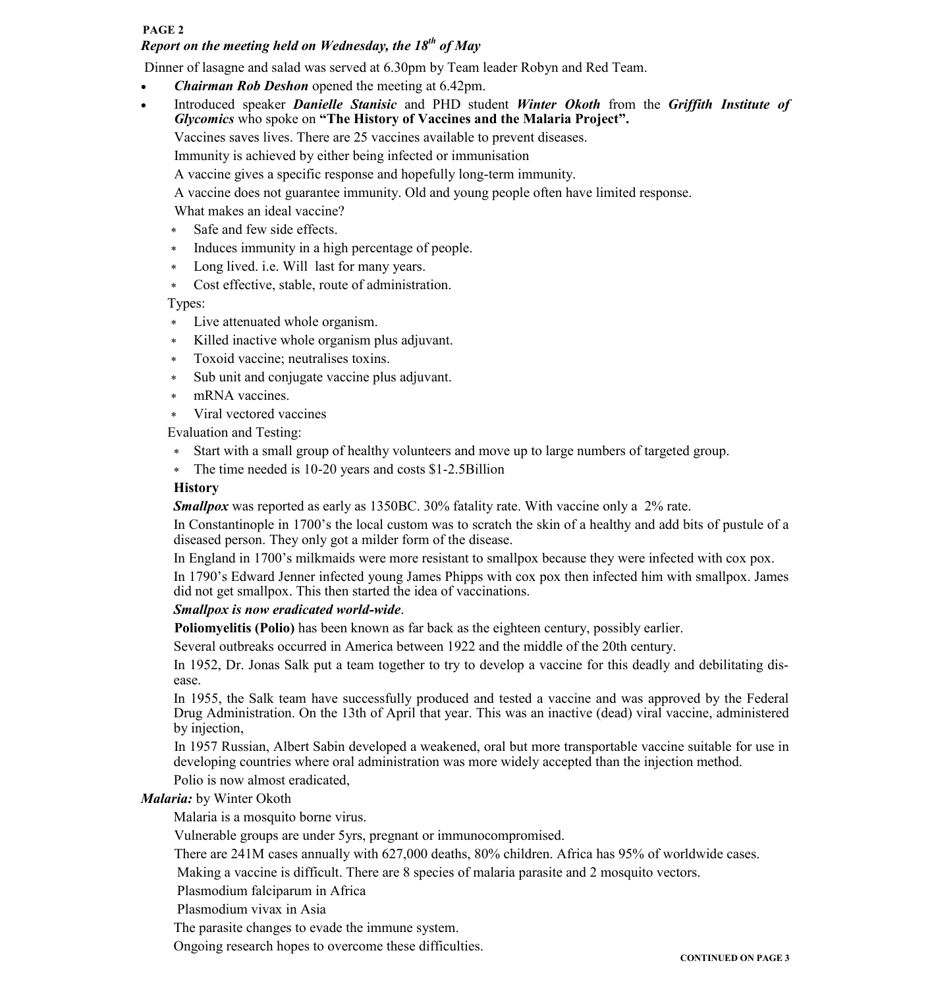#### **PAGE 2**

# *Report on the meeting held on Wednesday, the 18th of May*

Dinner of lasagne and salad was served at 6.30pm by Team leader Robyn and Red Team.

- *Chairman Rob Deshon* opened the meeting at 6.42pm.
- Introduced speaker *Danielle Stanisic* and PHD student *Winter Okoth* from the *Griffith Institute of Glycomics* who spoke on **"The History of Vaccines and the Malaria Project".**

Vaccines saves lives. There are 25 vaccines available to prevent diseases.

Immunity is achieved by either being infected or immunisation

A vaccine gives a specific response and hopefully long-term immunity.

A vaccine does not guarantee immunity. Old and young people often have limited response.

What makes an ideal vaccine?

- Safe and few side effects.
- \* Induces immunity in a high percentage of people.
- Long lived. i.e. Will last for many years.

Cost effective, stable, route of administration.

Types:

- Live attenuated whole organism.
- Killed inactive whole organism plus adjuvant.
- Toxoid vaccine; neutralises toxins.
- Sub unit and conjugate vaccine plus adjuvant.
- mRNA vaccines.
- Viral vectored vaccines

Evaluation and Testing:

- Start with a small group of healthy volunteers and move up to large numbers of targeted group.
- The time needed is 10-20 years and costs \$1-2.5Billion

## **History**

*Smallpox* was reported as early as 1350BC. 30% fatality rate. With vaccine only a 2% rate.

In Constantinople in 1700's the local custom was to scratch the skin of a healthy and add bits of pustule of a diseased person. They only got a milder form of the disease.

In England in 1700's milkmaids were more resistant to smallpox because they were infected with cox pox.

In 1790's Edward Jenner infected young James Phipps with cox pox then infected him with smallpox. James did not get smallpox. This then started the idea of vaccinations.

### *Smallpox is now eradicated world-wide*.

**Poliomyelitis (Polio)** has been known as far back as the eighteen century, possibly earlier.

Several outbreaks occurred in America between 1922 and the middle of the 20th century.

In 1952, Dr. Jonas Salk put a team together to try to develop a vaccine for this deadly and debilitating disease.

In 1955, the Salk team have successfully produced and tested a vaccine and was approved by the Federal Drug Administration. On the 13th of April that year. This was an inactive (dead) viral vaccine, administered by injection,

In 1957 Russian, Albert Sabin developed a weakened, oral but more transportable vaccine suitable for use in developing countries where oral administration was more widely accepted than the injection method.

Polio is now almost eradicated,

### *Malaria:* by Winter Okoth

Malaria is a mosquito borne virus.

Vulnerable groups are under 5yrs, pregnant or immunocompromised.

There are 241M cases annually with 627,000 deaths, 80% children. Africa has 95% of worldwide cases.

Making a vaccine is difficult. There are 8 species of malaria parasite and 2 mosquito vectors.

Plasmodium falciparum in Africa

Plasmodium vivax in Asia

The parasite changes to evade the immune system.

Ongoing research hopes to overcome these difficulties.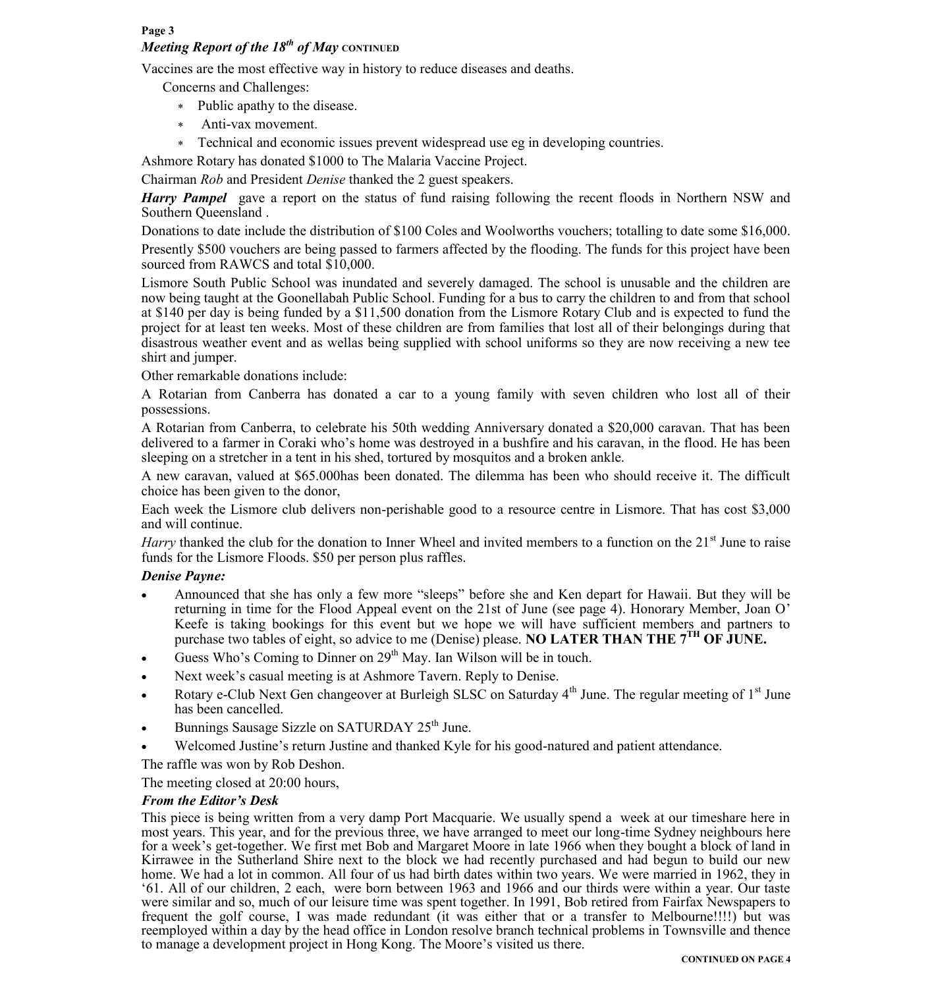#### **Page 3**

# *Meeting Report of the 18<sup>th</sup> of May CONTINUED*

Vaccines are the most effective way in history to reduce diseases and deaths.

Concerns and Challenges:

- Public apathy to the disease.
- Anti-vax movement.
- Technical and economic issues prevent widespread use eg in developing countries.
- Ashmore Rotary has donated \$1000 to The Malaria Vaccine Project.

Chairman *Rob* and President *Denise* thanked the 2 guest speakers.

*Harry Pampel* gave a report on the status of fund raising following the recent floods in Northern NSW and Southern Queensland .

Donations to date include the distribution of \$100 Coles and Woolworths vouchers; totalling to date some \$16,000.

Presently \$500 vouchers are being passed to farmers affected by the flooding. The funds for this project have been sourced from RAWCS and total \$10,000.

Lismore South Public School was inundated and severely damaged. The school is unusable and the children are now being taught at the Goonellabah Public School. Funding for a bus to carry the children to and from that school at \$140 per day is being funded by a \$11,500 donation from the Lismore Rotary Club and is expected to fund the project for at least ten weeks. Most of these children are from families that lost all of their belongings during that disastrous weather event and as wellas being supplied with school uniforms so they are now receiving a new tee shirt and jumper.

Other remarkable donations include:

A Rotarian from Canberra has donated a car to a young family with seven children who lost all of their possessions.

A Rotarian from Canberra, to celebrate his 50th wedding Anniversary donated a \$20,000 caravan. That has been delivered to a farmer in Coraki who's home was destroyed in a bushfire and his caravan, in the flood. He has been sleeping on a stretcher in a tent in his shed, tortured by mosquitos and a broken ankle.

A new caravan, valued at \$65.000has been donated. The dilemma has been who should receive it. The difficult choice has been given to the donor,

Each week the Lismore club delivers non-perishable good to a resource centre in Lismore. That has cost \$3,000 and will continue.

*Harry* thanked the club for the donation to Inner Wheel and invited members to a function on the 21<sup>st</sup> June to raise funds for the Lismore Floods. \$50 per person plus raffles.

#### *Denise Payne:*

- Announced that she has only a few more "sleeps" before she and Ken depart for Hawaii. But they will be returning in time for the Flood Appeal event on the 21st of June (see page 4). Honorary Member, Joan O' Keefe is taking bookings for this event but we hope we will have sufficient members and partners to purchase two tables of eight, so advice to me (Denise) please. **NO LATER THAN THE 7TH OF JUNE.**
- Guess Who's Coming to Dinner on  $29<sup>th</sup>$  May. Ian Wilson will be in touch.
- Next week's casual meeting is at Ashmore Tavern. Reply to Denise.
- Rotary e-Club Next Gen changeover at Burleigh SLSC on Saturday  $4<sup>th</sup>$  June. The regular meeting of  $1<sup>st</sup>$  June has been cancelled.
- Bunnings Sausage Sizzle on SATURDAY 25<sup>th</sup> June.
- Welcomed Justine's return Justine and thanked Kyle for his good-natured and patient attendance.

The raffle was won by Rob Deshon.

The meeting closed at 20:00 hours,

### *From the Editor's Desk*

This piece is being written from a very damp Port Macquarie. We usually spend a week at our timeshare here in most years. This year, and for the previous three, we have arranged to meet our long-time Sydney neighbours here for a week's get-together. We first met Bob and Margaret Moore in late 1966 when they bought a block of land in Kirrawee in the Sutherland Shire next to the block we had recently purchased and had begun to build our new home. We had a lot in common. All four of us had birth dates within two years. We were married in 1962, they in '61. All of our children, 2 each, were born between 1963 and 1966 and our thirds were within a year. Our taste were similar and so, much of our leisure time was spent together. In 1991, Bob retired from Fairfax Newspapers to frequent the golf course, I was made redundant (it was either that or a transfer to Melbourne!!!!) but was reemployed within a day by the head office in London resolve branch technical problems in Townsville and thence to manage a development project in Hong Kong. The Moore's visited us there.